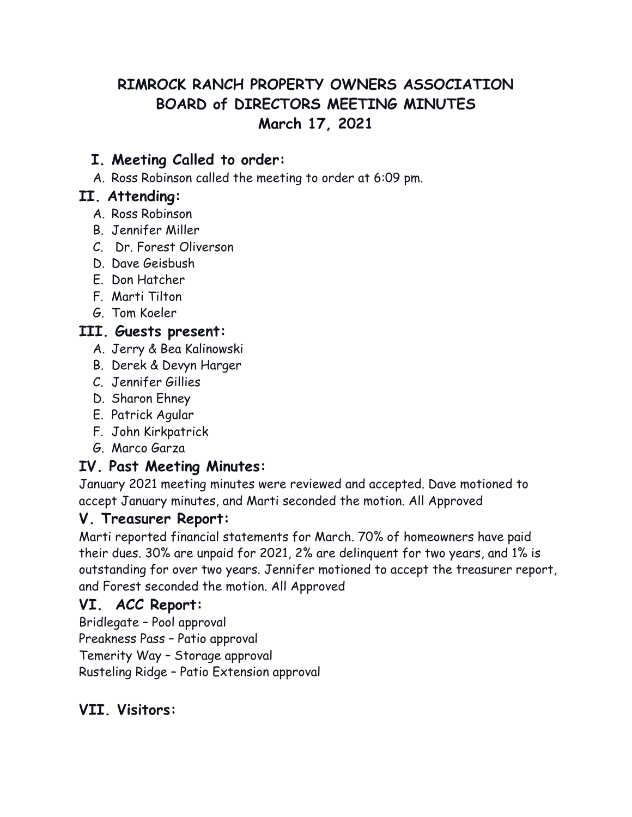# **RIMROCK RANCH PROPERTY OWNERS ASSOCIATION BOARD of DIRECTORS MEETING MINUTES March 17, 2021**

#### **I. Meeting Called to order:**

A. Ross Robinson called the meeting to order at 6:09 pm.

#### **II. Attending:**

- A. Ross Robinson
- B. Jennifer Miller
- C. Dr. Forest Oliverson
- D. Dave Geisbush
- E. Don Hatcher
- F. Marti Tilton
- G. Tom Koeler

#### **III. Guests present:**

- A. Jerry & Bea Kalinowski
- B. Derek & Devyn Harger
- C. Jennifer Gillies
- D. Sharon Ehney
- E. Patrick Agular
- F. John Kirkpatrick
- G. Marco Garza

### **IV. Past Meeting Minutes:**

January 2021 meeting minutes were reviewed and accepted. Dave motioned to accept January minutes, and Marti seconded the motion. All Approved

#### **V. Treasurer Report:**

Marti reported financial statements for March. 70% of homeowners have paid their dues. 30% are unpaid for 2021, 2% are delinquent for two years, and 1% is outstanding for over two years. Jennifer motioned to accept the treasurer report, and Forest seconded the motion. All Approved

#### **VI. ACC Report:**

Bridlegate – Pool approval Preakness Pass – Patio approval Temerity Way – Storage approval Rusteling Ridge – Patio Extension approval

### **VII. Visitors:**